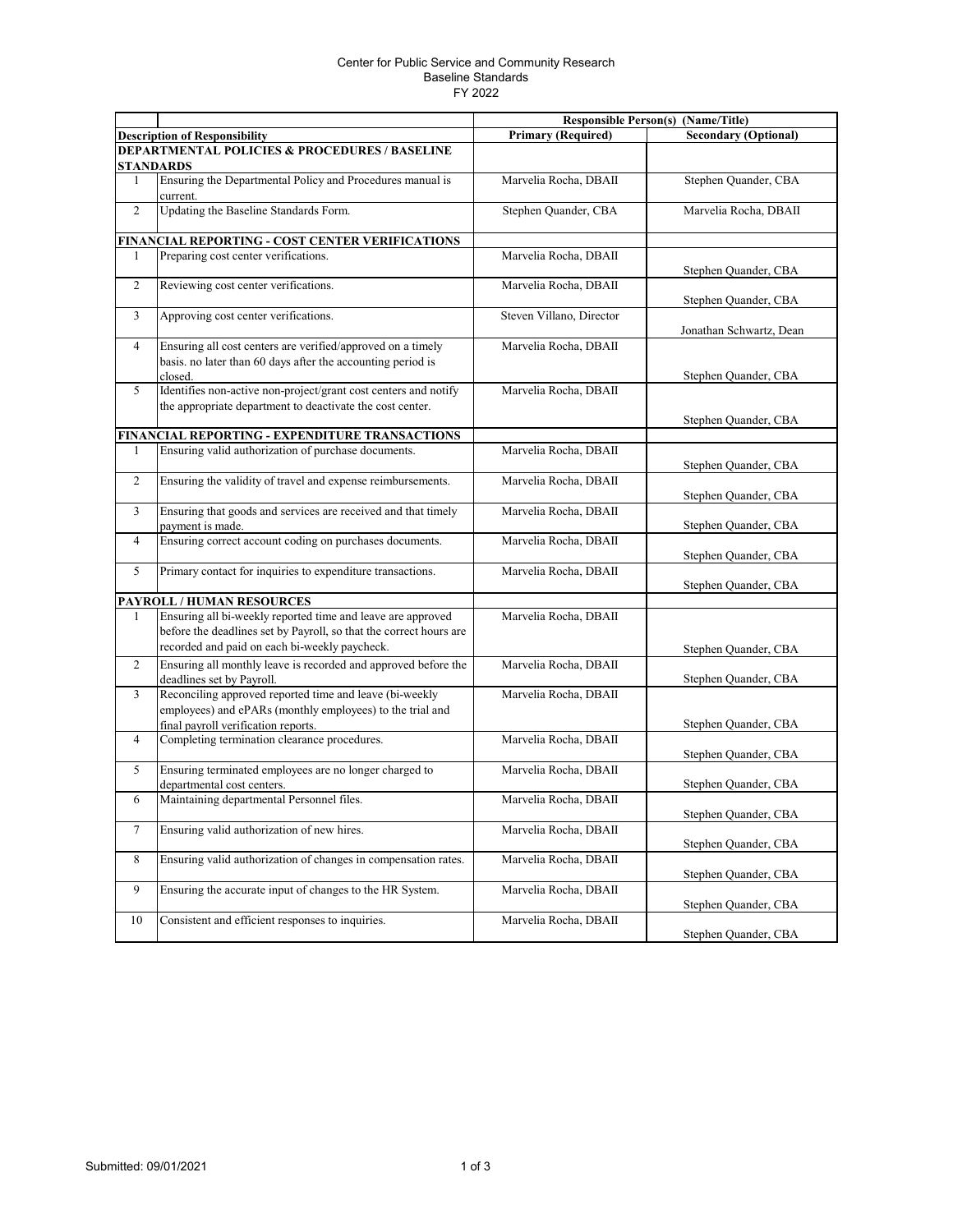## Center for Public Service and Community Research Baseline Standards FY 2022

|                                                          |                                                                                                                                                                                    | <b>Responsible Person(s) (Name/Title)</b> |                             |  |  |  |
|----------------------------------------------------------|------------------------------------------------------------------------------------------------------------------------------------------------------------------------------------|-------------------------------------------|-----------------------------|--|--|--|
|                                                          | <b>Description of Responsibility</b>                                                                                                                                               | <b>Primary (Required)</b>                 | <b>Secondary (Optional)</b> |  |  |  |
| <b>DEPARTMENTAL POLICIES &amp; PROCEDURES / BASELINE</b> |                                                                                                                                                                                    |                                           |                             |  |  |  |
|                                                          | STANDARDS                                                                                                                                                                          |                                           |                             |  |  |  |
| $\mathbf{1}$                                             | Ensuring the Departmental Policy and Procedures manual is<br>current.                                                                                                              | Marvelia Rocha, DBAII                     | Stephen Quander, CBA        |  |  |  |
| $\overline{2}$                                           | Updating the Baseline Standards Form.                                                                                                                                              | Stephen Quander, CBA                      | Marvelia Rocha, DBAII       |  |  |  |
|                                                          | FINANCIAL REPORTING - COST CENTER VERIFICATIONS                                                                                                                                    |                                           |                             |  |  |  |
| 1                                                        | Preparing cost center verifications.                                                                                                                                               | Marvelia Rocha, DBAII                     | Stephen Quander, CBA        |  |  |  |
| $\overline{2}$                                           | Reviewing cost center verifications.                                                                                                                                               | Marvelia Rocha, DBAII                     | Stephen Quander, CBA        |  |  |  |
| 3                                                        | Approving cost center verifications.                                                                                                                                               | Steven Villano, Director                  | Jonathan Schwartz, Dean     |  |  |  |
| $\overline{4}$                                           | Ensuring all cost centers are verified/approved on a timely<br>basis. no later than 60 days after the accounting period is<br>closed.                                              | Marvelia Rocha, DBAII                     | Stephen Quander, CBA        |  |  |  |
| 5                                                        | Identifies non-active non-project/grant cost centers and notify<br>the appropriate department to deactivate the cost center.                                                       | Marvelia Rocha, DBAII                     | Stephen Quander, CBA        |  |  |  |
|                                                          | FINANCIAL REPORTING - EXPENDITURE TRANSACTIONS                                                                                                                                     |                                           |                             |  |  |  |
| 1                                                        | Ensuring valid authorization of purchase documents.                                                                                                                                | Marvelia Rocha, DBAII                     | Stephen Quander, CBA        |  |  |  |
| 2                                                        | Ensuring the validity of travel and expense reimbursements.                                                                                                                        | Marvelia Rocha, DBAII                     | Stephen Quander, CBA        |  |  |  |
| 3                                                        | Ensuring that goods and services are received and that timely<br>payment is made.                                                                                                  | Marvelia Rocha, DBAII                     | Stephen Quander, CBA        |  |  |  |
| $\overline{4}$                                           | Ensuring correct account coding on purchases documents.                                                                                                                            | Marvelia Rocha, DBAII                     | Stephen Quander, CBA        |  |  |  |
| 5                                                        | Primary contact for inquiries to expenditure transactions.                                                                                                                         | Marvelia Rocha, DBAII                     | Stephen Quander, CBA        |  |  |  |
|                                                          | <b>PAYROLL / HUMAN RESOURCES</b>                                                                                                                                                   |                                           |                             |  |  |  |
| 1                                                        | Ensuring all bi-weekly reported time and leave are approved<br>before the deadlines set by Payroll, so that the correct hours are<br>recorded and paid on each bi-weekly paycheck. | Marvelia Rocha, DBAII                     | Stephen Quander, CBA        |  |  |  |
| 2                                                        | Ensuring all monthly leave is recorded and approved before the<br>deadlines set by Payroll.                                                                                        | Marvelia Rocha, DBAII                     | Stephen Quander, CBA        |  |  |  |
| 3                                                        | Reconciling approved reported time and leave (bi-weekly<br>employees) and ePARs (monthly employees) to the trial and<br>final payroll verification reports.                        | Marvelia Rocha, DBAII                     | Stephen Quander, CBA        |  |  |  |
| $\overline{4}$                                           | Completing termination clearance procedures.                                                                                                                                       | Marvelia Rocha, DBAII                     | Stephen Quander, CBA        |  |  |  |
| 5                                                        | Ensuring terminated employees are no longer charged to<br>departmental cost centers.                                                                                               | Marvelia Rocha, DBAII                     | Stephen Quander, CBA        |  |  |  |
| 6                                                        | Maintaining departmental Personnel files.                                                                                                                                          | Marvelia Rocha, DBAII                     | Stephen Quander, CBA        |  |  |  |
| $\tau$                                                   | Ensuring valid authorization of new hires.                                                                                                                                         | Marvelia Rocha, DBAII                     | Stephen Quander, CBA        |  |  |  |
| $\,8\,$                                                  | Ensuring valid authorization of changes in compensation rates.                                                                                                                     | Marvelia Rocha, DBAII                     | Stephen Quander, CBA        |  |  |  |
| 9                                                        | Ensuring the accurate input of changes to the HR System.                                                                                                                           | Marvelia Rocha, DBAII                     | Stephen Quander, CBA        |  |  |  |
| 10                                                       | Consistent and efficient responses to inquiries.                                                                                                                                   | Marvelia Rocha, DBAII                     | Stephen Quander, CBA        |  |  |  |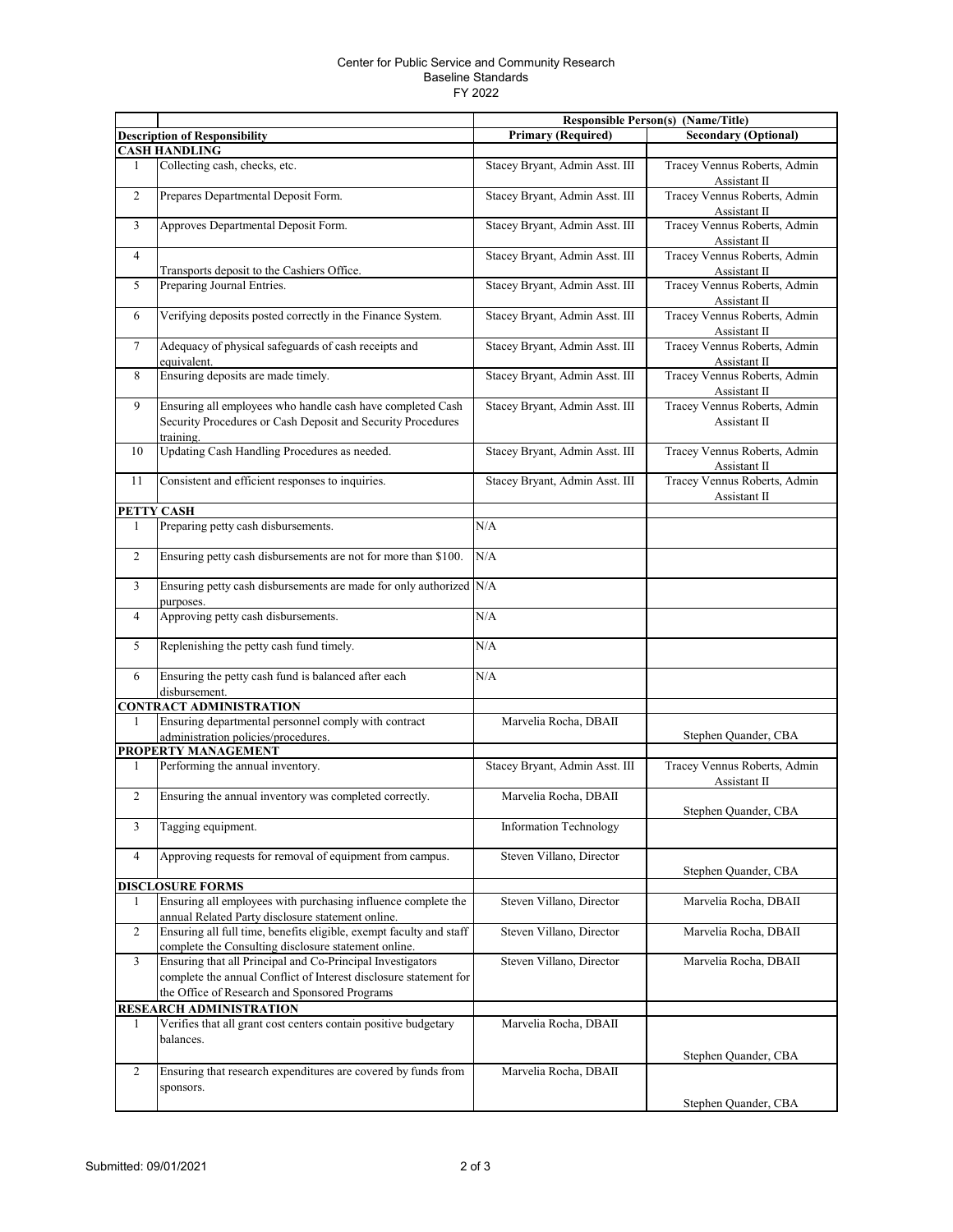## Center for Public Service and Community Research Baseline Standards FY 2022

|                |                                                                                                                                                                                  |                                | Responsible Person(s) (Name/Title)           |
|----------------|----------------------------------------------------------------------------------------------------------------------------------------------------------------------------------|--------------------------------|----------------------------------------------|
|                | <b>Description of Responsibility</b>                                                                                                                                             | <b>Primary (Required)</b>      | <b>Secondary (Optional)</b>                  |
|                | <b>CASH HANDLING</b>                                                                                                                                                             |                                |                                              |
| 1              | Collecting cash, checks, etc.                                                                                                                                                    | Stacey Bryant, Admin Asst. III | Tracey Vennus Roberts, Admin<br>Assistant II |
| $\overline{c}$ | Prepares Departmental Deposit Form.                                                                                                                                              | Stacey Bryant, Admin Asst. III | Tracey Vennus Roberts, Admin<br>Assistant II |
| 3              | Approves Departmental Deposit Form.                                                                                                                                              | Stacey Bryant, Admin Asst. III | Tracey Vennus Roberts, Admin<br>Assistant II |
| $\overline{4}$ | Transports deposit to the Cashiers Office.                                                                                                                                       | Stacey Bryant, Admin Asst. III | Tracey Vennus Roberts, Admin<br>Assistant II |
| 5              | Preparing Journal Entries.                                                                                                                                                       | Stacey Bryant, Admin Asst. III | Tracey Vennus Roberts, Admin<br>Assistant II |
| 6              | Verifying deposits posted correctly in the Finance System.                                                                                                                       | Stacey Bryant, Admin Asst. III | Tracey Vennus Roberts, Admin<br>Assistant II |
| $\tau$         | Adequacy of physical safeguards of cash receipts and<br>equivalent.                                                                                                              | Stacey Bryant, Admin Asst. III | Tracey Vennus Roberts, Admin<br>Assistant II |
| 8              | Ensuring deposits are made timely.                                                                                                                                               | Stacey Bryant, Admin Asst. III | Tracey Vennus Roberts, Admin<br>Assistant II |
| 9              | Ensuring all employees who handle cash have completed Cash<br>Security Procedures or Cash Deposit and Security Procedures<br>training.                                           | Stacey Bryant, Admin Asst. III | Tracey Vennus Roberts, Admin<br>Assistant II |
| 10             | Updating Cash Handling Procedures as needed.                                                                                                                                     | Stacey Bryant, Admin Asst. III | Tracey Vennus Roberts, Admin<br>Assistant II |
| 11             | Consistent and efficient responses to inquiries.                                                                                                                                 | Stacey Bryant, Admin Asst. III | Tracey Vennus Roberts, Admin<br>Assistant II |
| PETTY          | <b>CASH</b>                                                                                                                                                                      |                                |                                              |
| 1              | Preparing petty cash disbursements.                                                                                                                                              | N/A                            |                                              |
| $\overline{c}$ | Ensuring petty cash disbursements are not for more than \$100.                                                                                                                   | N/A                            |                                              |
| 3              | Ensuring petty cash disbursements are made for only authorized N/A<br>purposes.                                                                                                  |                                |                                              |
| 4              | Approving petty cash disbursements.                                                                                                                                              | N/A                            |                                              |
| 5              | Replenishing the petty cash fund timely.                                                                                                                                         | N/A                            |                                              |
| 6              | Ensuring the petty cash fund is balanced after each<br>disbursement.                                                                                                             | N/A                            |                                              |
|                | <b>CONTRACT ADMINISTRATION</b>                                                                                                                                                   |                                |                                              |
| 1              | Ensuring departmental personnel comply with contract<br>administration policies/procedures.                                                                                      | Marvelia Rocha, DBAII          | Stephen Quander, CBA                         |
|                | PROPERTY MANAGEMENT                                                                                                                                                              |                                |                                              |
| 1              | Performing the annual inventory.                                                                                                                                                 | Stacey Bryant, Admin Asst. III | Tracey Vennus Roberts, Admin<br>Assistant II |
| $\overline{c}$ | Ensuring the annual inventory was completed correctly.                                                                                                                           | Marvelia Rocha, DBAII          | Stephen Quander, CBA                         |
| 3              | Tagging equipment.                                                                                                                                                               | <b>Information Technology</b>  |                                              |
| 4              | Approving requests for removal of equipment from campus.                                                                                                                         | Steven Villano, Director       | Stephen Quander, CBA                         |
|                | <b>DISCLOSURE FORMS</b>                                                                                                                                                          |                                |                                              |
| 1              | Ensuring all employees with purchasing influence complete the<br>annual Related Party disclosure statement online.                                                               | Steven Villano, Director       | Marvelia Rocha, DBAII                        |
| $\overline{c}$ | Ensuring all full time, benefits eligible, exempt faculty and staff<br>complete the Consulting disclosure statement online.                                                      | Steven Villano, Director       | Marvelia Rocha, DBAII                        |
| 3              | Ensuring that all Principal and Co-Principal Investigators<br>complete the annual Conflict of Interest disclosure statement for<br>the Office of Research and Sponsored Programs | Steven Villano, Director       | Marvelia Rocha, DBAII                        |
|                | <b>RESEARCH ADMINISTRATION</b>                                                                                                                                                   |                                |                                              |
| 1              | Verifies that all grant cost centers contain positive budgetary<br>balances.                                                                                                     | Marvelia Rocha, DBAII          | Stephen Quander, CBA                         |
| $\overline{c}$ | Ensuring that research expenditures are covered by funds from<br>sponsors.                                                                                                       | Marvelia Rocha, DBAII          |                                              |
|                |                                                                                                                                                                                  |                                | Stephen Quander, CBA                         |